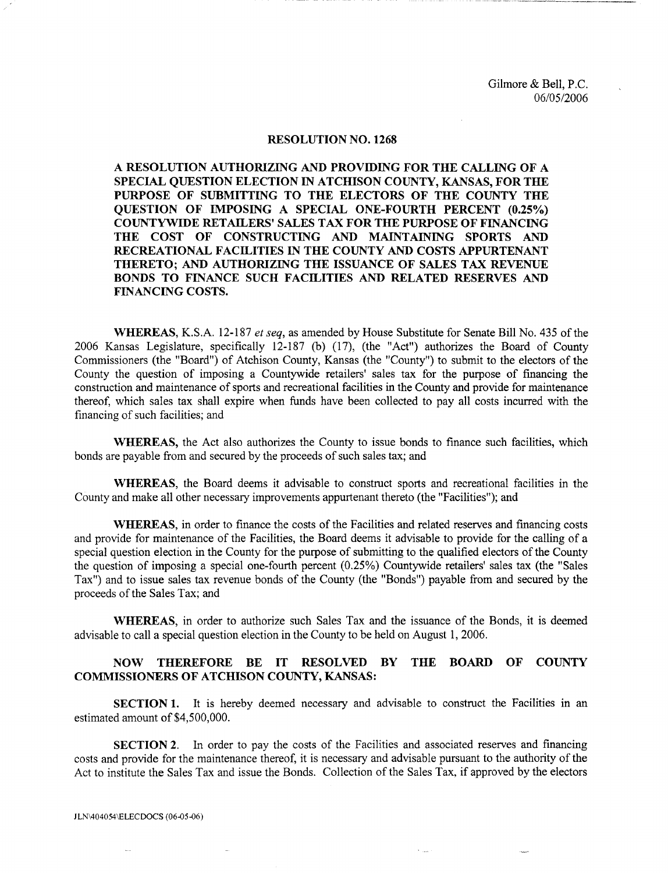Gilmore & Bell, P.C. 06/05/2006

## RESOLUTION NO. 1268

A RESOLUTION AUTHORIZING AND PROVIDING FOR THE CALLING OF A SPECIAL QUESTION ELECTION IN ATCHISON COUNTY, KANSAS, FOR THE PURPOSE OF SUBMITTING TO THE ELECTORS OF THE COUNTY THE QUESTION OF IMPOSING A SPECIAL ONE-FOURTH PERCENT (0.25%) COUNTYWIDE RETAILERS' SALES TAX FOR THE PURPOSE OF FINANCING THE COST OF CONSTRUCTING AND MAINTAINING SPORTS AND RECREATIONAL FACILITIES IN THE COUNTY AND COSTS APPURTENANT THERETO; AND AUTHORIZING THE ISSUANCE OF SALES TAX REVENUE BONDS TO FINANCE SUCH FACILITIES AND RELATED RESERVES AND FINANCING COSTS.

WHEREAS, K.S.A. 12-187 *et seq,* as amended by House Substitute for Senate Bill No. 435 of the 2006 Kansas Legislature, specifically 12-187 (b) (17), (the "Act") authorizes the Board of County Commissioners (the "Board") of Atchison County, Kansas (the "County") to submit to the electors of the County the question of imposing a Countywide retailers' sales tax for the purpose of financing the construction and maintenance of sports and recreational facilities in the County and provide for maintenance thereof, which sales tax shall expire when funds have been collected to pay all costs incurred with the financing of such facilities; and

WHEREAS, the Act also authorizes the County to issue bonds to finance such facilities, which bonds are payable from and secured by the proceeds of such sales tax; and

WHEREAS, the Board deems it advisable to construct sports and recreational facilities in the County and make all other necessary improvements appurtenant thereto (the "Facilities"); and

WHEREAS, in order to finance the costs of the Facilities and related reserves and fmancing costs and provide for maintenance of the Facilities, the Board deems it advisable to provide for the calling of a special question election in the County for the purpose of submitting to the qualified electors of the County the question of imposing a special one-fourth percent (0.25%) Countywide retailers' sales tax (the "Sales Tax") and to issue sales tax revenue bonds of the County (the "Bonds") payable from and secured by the proceeds of the Sales Tax; and

WHEREAS, in order to authorize such Sales Tax and the issuance of the Bonds, it is deemed advisable to call a special question election in the County to be held on August 1, 2006.

## NOW THEREFORE BE IT RESOLVED BY THE BOARD OF COUNTY COMMISSIONERS OF ATCHISON COUNTY, KANSAS:

SECTION 1. It is hereby deemed necessary and advisable to construct the Facilities in an estimated amount of \$4,500,000.

SECTION 2. In order to pay the costs of the Facilities and associated reserves and financing costs and provide for the maintenance thereof, it is necessary and advisable pursuant to the authority of the Act to institute the Sales Tax and issue the Bonds. Collection of the Sales Tax, if approved by the electors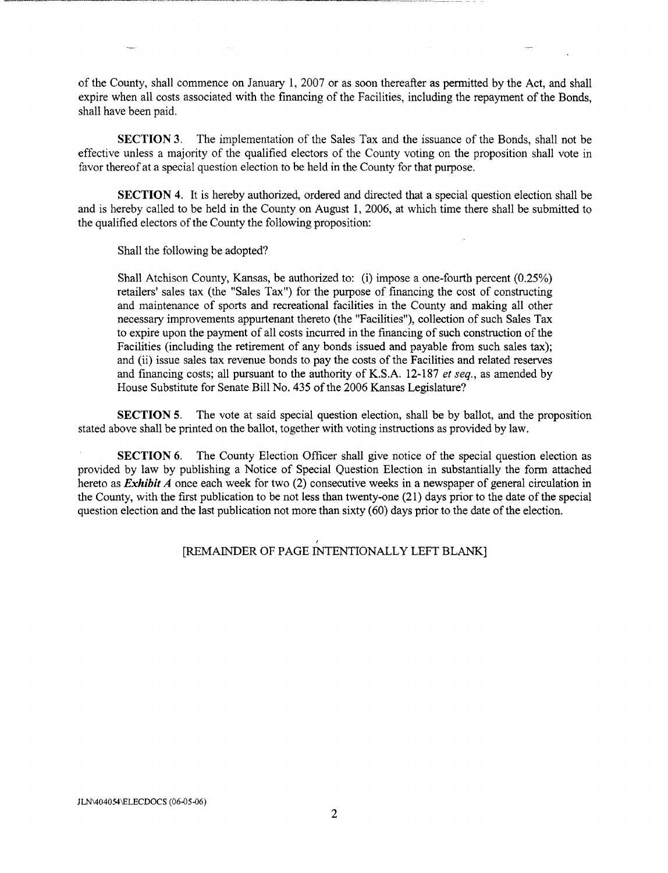of the County, shall commence on January 1, 2007 or as soon thereafter as permitted by the Act, and shall expire when all costs associated with the financing of the Facilities, including the repayment of the Bonds, shall have been paid.

SECTION 3. The implementation of the Sales Tax and the issuance of the Bonds, shall not be effective unless a majority of the qualified electors of the County voting on the proposition shall vote in favor thereof at a special question election to be held in the County for that purpose.

SECTION 4. It is hereby authorized, ordered and directed that a special question election shall be and is hereby called to be held in the County on August 1, 2006, at which time there shall be submitted to the qualified electors of the County the following proposition:

Shall the following be adopted?

Shall Atchison County, Kansas, be authorized to: (i) impose a one-fourth percent (0.25%) retailers' sales tax (the "Sales Tax") for the purpose of financing the cost of constructing and maintenance of sports and recreational facilities in the County and making all other necessary improvements appurtenant thereto (the "Facilities"), collection of such Sales Tax to expire upon the payment of all costs incurred in the financing of such construction of the Facilities (including the retirement of any bonds issued and payable from such sales tax); and (ii) issue sales tax revenue bonds to pay the costs of the Facilities and related reserves and financing costs; all pursuant to the authority of K.S.A. 12-187 *et seq.,* as amended by House Substitute for Senate Bill No. 435 of the 2006 Kansas Legislature?

SECTION 5. The vote at said special question election, shall be by ballot, and the proposition stated above shall be printed on the ballot, together with voting instructions as provided by law.

SECTION 6. The County Election Officer shall give notice of the special question election as provided by law by publishing a Notice of Special Question Election in substantially the form attached hereto as *Exhibit A* once each week for two (2) consecutive weeks in a newspaper of general circulation in the County, with the first publication to be not less than twenty-one (21) days prior to the date of the special question election and the last publication not more than sixty (60) days prior to the date of the election.

## [REMAINDER OF PAGE INTENTIONALLY LEFT BLANK]